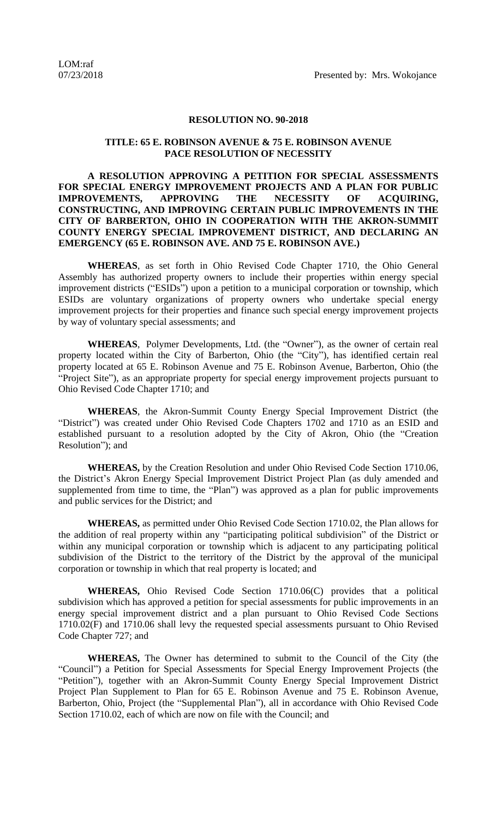## **RESOLUTION NO. 90-2018**

## **TITLE: 65 E. ROBINSON AVENUE & 75 E. ROBINSON AVENUE PACE RESOLUTION OF NECESSITY**

## **A RESOLUTION APPROVING A PETITION FOR SPECIAL ASSESSMENTS FOR SPECIAL ENERGY IMPROVEMENT PROJECTS AND A PLAN FOR PUBLIC IMPROVEMENTS, APPROVING THE NECESSITY OF ACQUIRING, CONSTRUCTING, AND IMPROVING CERTAIN PUBLIC IMPROVEMENTS IN THE CITY OF BARBERTON, OHIO IN COOPERATION WITH THE AKRON-SUMMIT COUNTY ENERGY SPECIAL IMPROVEMENT DISTRICT, AND DECLARING AN EMERGENCY (65 E. ROBINSON AVE. AND 75 E. ROBINSON AVE.)**

**WHEREAS**, as set forth in Ohio Revised Code Chapter 1710, the Ohio General Assembly has authorized property owners to include their properties within energy special improvement districts ("ESIDs") upon a petition to a municipal corporation or township, which ESIDs are voluntary organizations of property owners who undertake special energy improvement projects for their properties and finance such special energy improvement projects by way of voluntary special assessments; and

**WHEREAS**, Polymer Developments, Ltd. (the "Owner"), as the owner of certain real property located within the City of Barberton, Ohio (the "City"), has identified certain real property located at 65 E. Robinson Avenue and 75 E. Robinson Avenue, Barberton, Ohio (the "Project Site"), as an appropriate property for special energy improvement projects pursuant to Ohio Revised Code Chapter 1710; and

**WHEREAS**, the Akron-Summit County Energy Special Improvement District (the "District") was created under Ohio Revised Code Chapters 1702 and 1710 as an ESID and established pursuant to a resolution adopted by the City of Akron, Ohio (the "Creation Resolution"); and

**WHEREAS,** by the Creation Resolution and under Ohio Revised Code Section 1710.06, the District's Akron Energy Special Improvement District Project Plan (as duly amended and supplemented from time to time, the "Plan") was approved as a plan for public improvements and public services for the District; and

**WHEREAS,** as permitted under Ohio Revised Code Section 1710.02, the Plan allows for the addition of real property within any "participating political subdivision" of the District or within any municipal corporation or township which is adjacent to any participating political subdivision of the District to the territory of the District by the approval of the municipal corporation or township in which that real property is located; and

**WHEREAS,** Ohio Revised Code Section 1710.06(C) provides that a political subdivision which has approved a petition for special assessments for public improvements in an energy special improvement district and a plan pursuant to Ohio Revised Code Sections 1710.02(F) and 1710.06 shall levy the requested special assessments pursuant to Ohio Revised Code Chapter 727; and

**WHEREAS,** The Owner has determined to submit to the Council of the City (the "Council") a Petition for Special Assessments for Special Energy Improvement Projects (the "Petition"), together with an Akron-Summit County Energy Special Improvement District Project Plan Supplement to Plan for 65 E. Robinson Avenue and 75 E. Robinson Avenue, Barberton, Ohio, Project (the "Supplemental Plan"), all in accordance with Ohio Revised Code Section 1710.02, each of which are now on file with the Council; and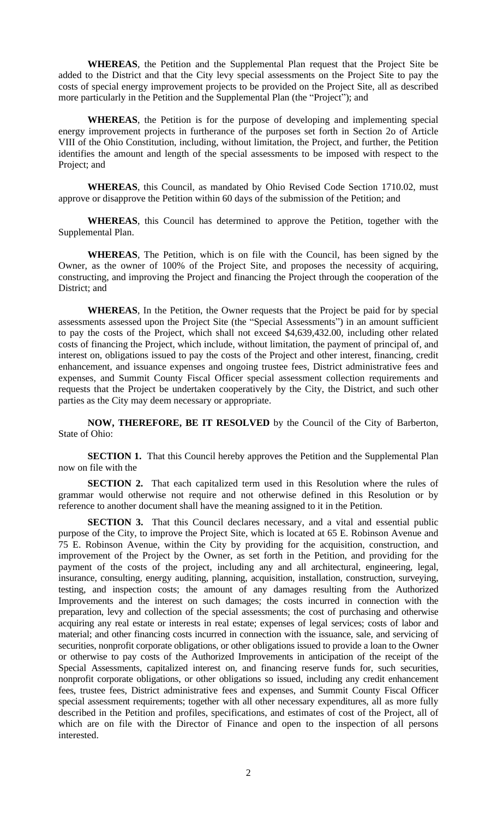**WHEREAS**, the Petition and the Supplemental Plan request that the Project Site be added to the District and that the City levy special assessments on the Project Site to pay the costs of special energy improvement projects to be provided on the Project Site, all as described more particularly in the Petition and the Supplemental Plan (the "Project"); and

**WHEREAS**, the Petition is for the purpose of developing and implementing special energy improvement projects in furtherance of the purposes set forth in Section 2o of Article VIII of the Ohio Constitution, including, without limitation, the Project, and further, the Petition identifies the amount and length of the special assessments to be imposed with respect to the Project; and

**WHEREAS**, this Council, as mandated by Ohio Revised Code Section 1710.02, must approve or disapprove the Petition within 60 days of the submission of the Petition; and

**WHEREAS**, this Council has determined to approve the Petition, together with the Supplemental Plan.

**WHEREAS**, The Petition, which is on file with the Council, has been signed by the Owner, as the owner of 100% of the Project Site, and proposes the necessity of acquiring, constructing, and improving the Project and financing the Project through the cooperation of the District; and

**WHEREAS**, In the Petition, the Owner requests that the Project be paid for by special assessments assessed upon the Project Site (the "Special Assessments") in an amount sufficient to pay the costs of the Project, which shall not exceed \$4,639,432.00, including other related costs of financing the Project, which include, without limitation, the payment of principal of, and interest on, obligations issued to pay the costs of the Project and other interest, financing, credit enhancement, and issuance expenses and ongoing trustee fees, District administrative fees and expenses, and Summit County Fiscal Officer special assessment collection requirements and requests that the Project be undertaken cooperatively by the City, the District, and such other parties as the City may deem necessary or appropriate.

**NOW, THEREFORE, BE IT RESOLVED** by the Council of the City of Barberton, State of Ohio:

**SECTION 1.** That this Council hereby approves the Petition and the Supplemental Plan now on file with the

**SECTION 2.** That each capitalized term used in this Resolution where the rules of grammar would otherwise not require and not otherwise defined in this Resolution or by reference to another document shall have the meaning assigned to it in the Petition.

**SECTION 3.** That this Council declares necessary, and a vital and essential public purpose of the City, to improve the Project Site, which is located at 65 E. Robinson Avenue and 75 E. Robinson Avenue, within the City by providing for the acquisition, construction, and improvement of the Project by the Owner, as set forth in the Petition, and providing for the payment of the costs of the project, including any and all architectural, engineering, legal, insurance, consulting, energy auditing, planning, acquisition, installation, construction, surveying, testing, and inspection costs; the amount of any damages resulting from the Authorized Improvements and the interest on such damages; the costs incurred in connection with the preparation, levy and collection of the special assessments; the cost of purchasing and otherwise acquiring any real estate or interests in real estate; expenses of legal services; costs of labor and material; and other financing costs incurred in connection with the issuance, sale, and servicing of securities, nonprofit corporate obligations, or other obligations issued to provide a loan to the Owner or otherwise to pay costs of the Authorized Improvements in anticipation of the receipt of the Special Assessments, capitalized interest on, and financing reserve funds for, such securities, nonprofit corporate obligations, or other obligations so issued, including any credit enhancement fees, trustee fees, District administrative fees and expenses, and Summit County Fiscal Officer special assessment requirements; together with all other necessary expenditures, all as more fully described in the Petition and profiles, specifications, and estimates of cost of the Project, all of which are on file with the Director of Finance and open to the inspection of all persons interested.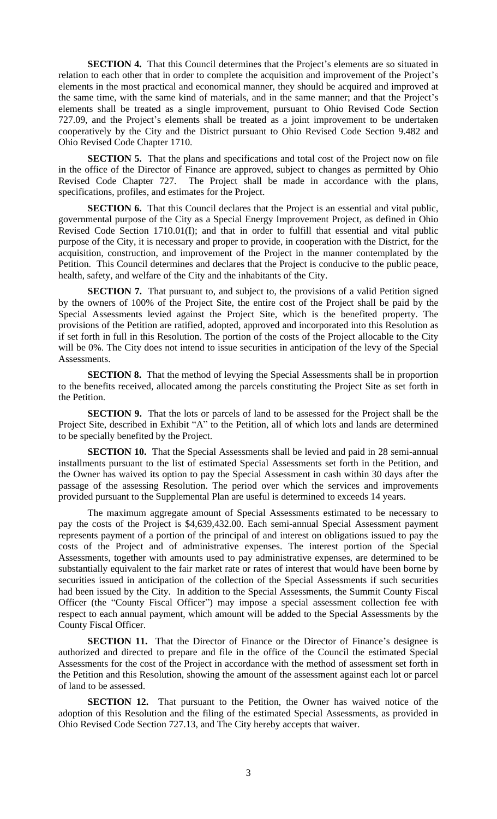**SECTION 4.** That this Council determines that the Project's elements are so situated in relation to each other that in order to complete the acquisition and improvement of the Project's elements in the most practical and economical manner, they should be acquired and improved at the same time, with the same kind of materials, and in the same manner; and that the Project's elements shall be treated as a single improvement, pursuant to Ohio Revised Code Section 727.09, and the Project's elements shall be treated as a joint improvement to be undertaken cooperatively by the City and the District pursuant to Ohio Revised Code Section 9.482 and Ohio Revised Code Chapter 1710.

**SECTION 5.** That the plans and specifications and total cost of the Project now on file in the office of the Director of Finance are approved, subject to changes as permitted by Ohio Revised Code Chapter 727. The Project shall be made in accordance with the plans, specifications, profiles, and estimates for the Project.

**SECTION 6.** That this Council declares that the Project is an essential and vital public, governmental purpose of the City as a Special Energy Improvement Project, as defined in Ohio Revised Code Section 1710.01(I); and that in order to fulfill that essential and vital public purpose of the City, it is necessary and proper to provide, in cooperation with the District, for the acquisition, construction, and improvement of the Project in the manner contemplated by the Petition. This Council determines and declares that the Project is conducive to the public peace, health, safety, and welfare of the City and the inhabitants of the City.

**SECTION 7.** That pursuant to, and subject to, the provisions of a valid Petition signed by the owners of 100% of the Project Site, the entire cost of the Project shall be paid by the Special Assessments levied against the Project Site, which is the benefited property. The provisions of the Petition are ratified, adopted, approved and incorporated into this Resolution as if set forth in full in this Resolution. The portion of the costs of the Project allocable to the City will be 0%. The City does not intend to issue securities in anticipation of the levy of the Special Assessments.

**SECTION 8.** That the method of levying the Special Assessments shall be in proportion to the benefits received, allocated among the parcels constituting the Project Site as set forth in the Petition.

**SECTION 9.** That the lots or parcels of land to be assessed for the Project shall be the Project Site, described in Exhibit "A" to the Petition, all of which lots and lands are determined to be specially benefited by the Project.

**SECTION 10.** That the Special Assessments shall be levied and paid in 28 semi-annual installments pursuant to the list of estimated Special Assessments set forth in the Petition, and the Owner has waived its option to pay the Special Assessment in cash within 30 days after the passage of the assessing Resolution. The period over which the services and improvements provided pursuant to the Supplemental Plan are useful is determined to exceeds 14 years.

The maximum aggregate amount of Special Assessments estimated to be necessary to pay the costs of the Project is \$4,639,432.00. Each semi-annual Special Assessment payment represents payment of a portion of the principal of and interest on obligations issued to pay the costs of the Project and of administrative expenses. The interest portion of the Special Assessments, together with amounts used to pay administrative expenses, are determined to be substantially equivalent to the fair market rate or rates of interest that would have been borne by securities issued in anticipation of the collection of the Special Assessments if such securities had been issued by the City. In addition to the Special Assessments, the Summit County Fiscal Officer (the "County Fiscal Officer") may impose a special assessment collection fee with respect to each annual payment, which amount will be added to the Special Assessments by the County Fiscal Officer.

**SECTION 11.** That the Director of Finance or the Director of Finance's designee is authorized and directed to prepare and file in the office of the Council the estimated Special Assessments for the cost of the Project in accordance with the method of assessment set forth in the Petition and this Resolution, showing the amount of the assessment against each lot or parcel of land to be assessed.

**SECTION 12.** That pursuant to the Petition, the Owner has waived notice of the adoption of this Resolution and the filing of the estimated Special Assessments, as provided in Ohio Revised Code Section 727.13, and The City hereby accepts that waiver.